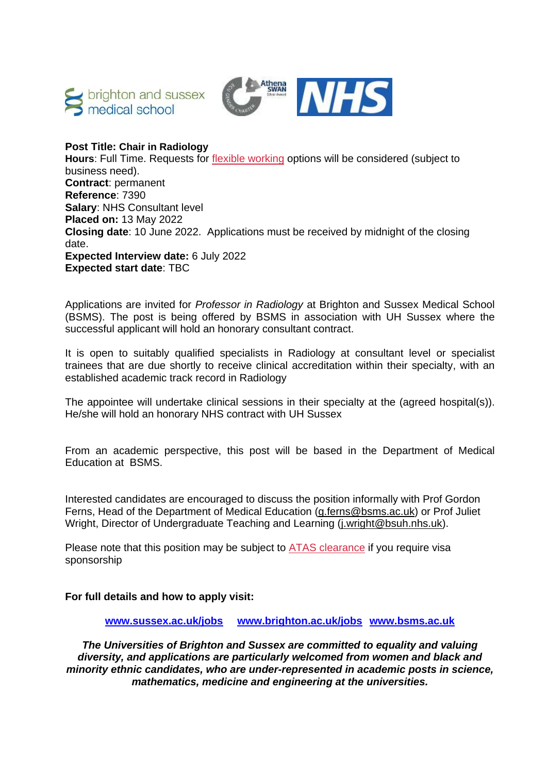



# **Post Title: Chair in Radiology**

**Hours**: Full Time. Requests for [flexible working](http://www.sussex.ac.uk/humanresources/personnel/flexible-working) options will be considered (subject to business need). **Contract**: permanent **Reference**: 7390 **Salary**: NHS Consultant level **Placed on:** 13 May 2022 **Closing date**: 10 June 2022. Applications must be received by midnight of the closing date. **Expected Interview date:** 6 July 2022 **Expected start date**: TBC

Applications are invited for *Professor in Radiology* at Brighton and Sussex Medical School (BSMS). The post is being offered by BSMS in association with UH Sussex where the successful applicant will hold an honorary consultant contract.

It is open to suitably qualified specialists in Radiology at consultant level or specialist trainees that are due shortly to receive clinical accreditation within their specialty, with an established academic track record in Radiology

The appointee will undertake clinical sessions in their specialty at the (agreed hospital(s)). He/she will hold an honorary NHS contract with UH Sussex

From an academic perspective, this post will be based in the Department of Medical Education at BSMS.

Interested candidates are encouraged to discuss the position informally with Prof Gordon Ferns, Head of the Department of Medical Education [\(g.ferns@bsms.ac.uk\)](mailto:g.ferns@bsms.ac.uk) or Prof Juliet Wright, Director of Undergraduate Teaching and Learning [\(j.wright@bsuh.nhs.uk\)](mailto:j.wright@bsuh.nhs.uk).

Please note that this position may be subject to [ATAS clearance](https://www.gov.uk/guidance/academic-technology-approval-scheme) if you require visa sponsorship

# **For full details and how to apply visit:**

**[www.sussex.ac.uk/jobs](http://www.sussex.ac.uk/jobs) [www.brighton.ac.uk/jobs](http://www.brighton.ac.uk/jobs) [www.bsms.ac.uk](http://www.bsms.ac.uk/)**

*The Universities of Brighton and Sussex are committed to equality and valuing diversity, and applications are particularly welcomed from women and black and minority ethnic candidates, who are under-represented in academic posts in science, mathematics, medicine and engineering at the universities.*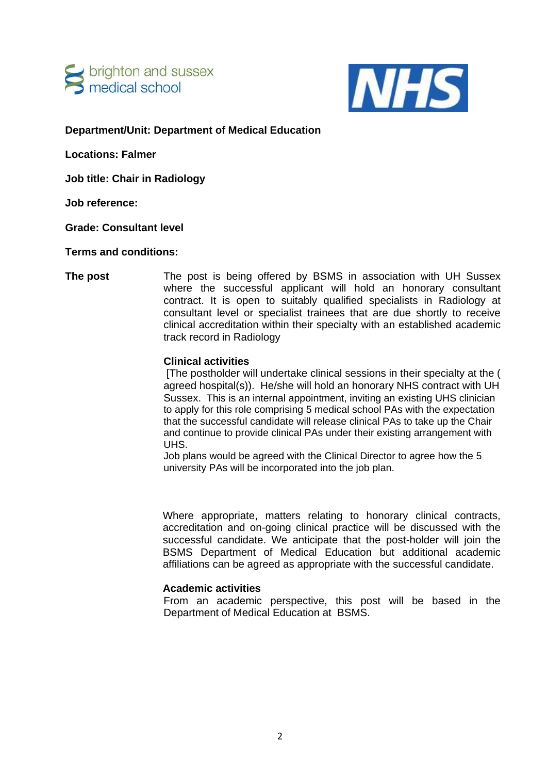



**Department/Unit: Department of Medical Education**

**Locations: Falmer**

**Job title: Chair in Radiology**

**Job reference:**

**Grade: Consultant level** 

**Terms and conditions:** 

**The post** The post is being offered by BSMS in association with UH Sussex where the successful applicant will hold an honorary consultant contract. It is open to suitably qualified specialists in Radiology at consultant level or specialist trainees that are due shortly to receive clinical accreditation within their specialty with an established academic track record in Radiology

### **Clinical activities**

[The postholder will undertake clinical sessions in their specialty at the ( agreed hospital(s)). He/she will hold an honorary NHS contract with UH Sussex. This is an internal appointment, inviting an existing UHS clinician to apply for this role comprising 5 medical school PAs with the expectation that the successful candidate will release clinical PAs to take up the Chair and continue to provide clinical PAs under their existing arrangement with UHS.

Job plans would be agreed with the Clinical Director to agree how the 5 university PAs will be incorporated into the job plan.

Where appropriate, matters relating to honorary clinical contracts, accreditation and on-going clinical practice will be discussed with the successful candidate. We anticipate that the post-holder will join the BSMS Department of Medical Education but additional academic affiliations can be agreed as appropriate with the successful candidate.

# **Academic activities**

From an academic perspective, this post will be based in the Department of Medical Education at BSMS.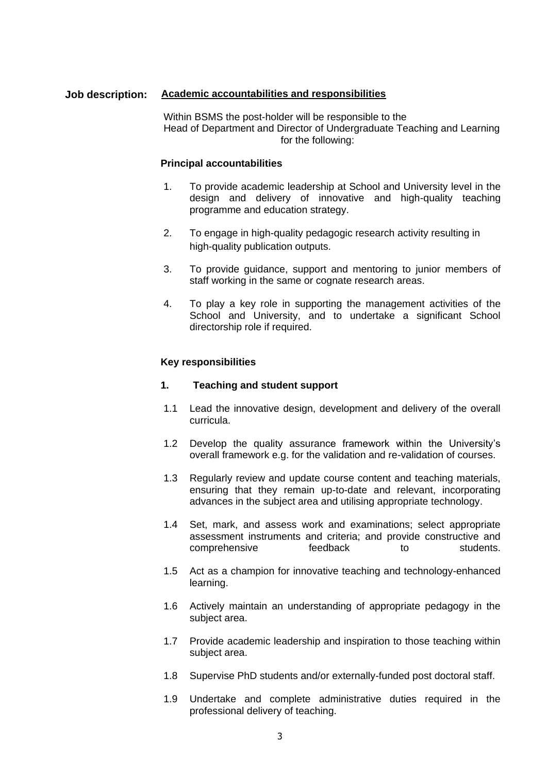# **Job description: Academic accountabilities and responsibilities**

Within BSMS the post-holder will be responsible to the Head of Department and Director of Undergraduate Teaching and Learning for the following:

### **Principal accountabilities**

- 1. To provide academic leadership at School and University level in the design and delivery of innovative and high-quality teaching programme and education strategy.
- 2. To engage in high-quality pedagogic research activity resulting in high-quality publication outputs.
- 3. To provide guidance, support and mentoring to junior members of staff working in the same or cognate research areas.
- 4. To play a key role in supporting the management activities of the School and University, and to undertake a significant School directorship role if required.

### **Key responsibilities**

#### **1. Teaching and student support**

- 1.1 Lead the innovative design, development and delivery of the overall curricula.
- 1.2 Develop the quality assurance framework within the University's overall framework e.g. for the validation and re-validation of courses.
- 1.3 Regularly review and update course content and teaching materials, ensuring that they remain up-to-date and relevant, incorporating advances in the subject area and utilising appropriate technology.
- 1.4 Set, mark, and assess work and examinations; select appropriate assessment instruments and criteria; and provide constructive and comprehensive feedback to students.
- 1.5 Act as a champion for innovative teaching and technology-enhanced learning.
- 1.6 Actively maintain an understanding of appropriate pedagogy in the subject area.
- 1.7 Provide academic leadership and inspiration to those teaching within subject area.
- 1.8 Supervise PhD students and/or externally-funded post doctoral staff.
- 1.9 Undertake and complete administrative duties required in the professional delivery of teaching.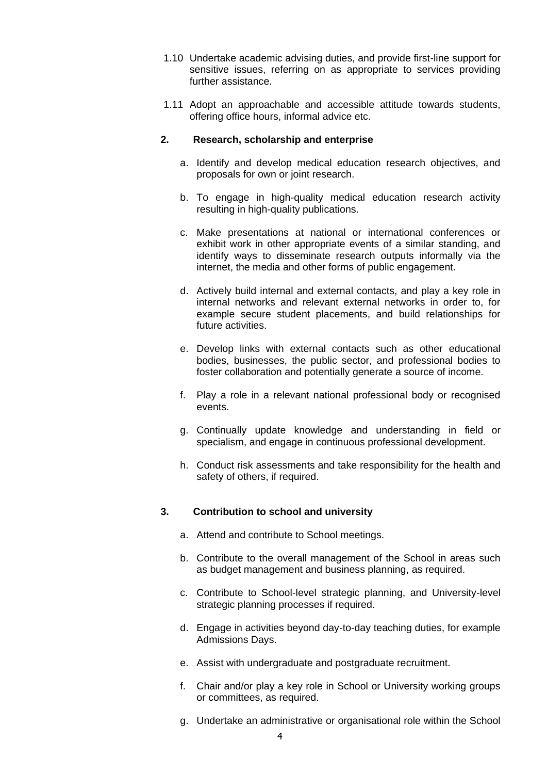- 1.10 Undertake academic advising duties, and provide first-line support for sensitive issues, referring on as appropriate to services providing further assistance.
- 1.11 Adopt an approachable and accessible attitude towards students, offering office hours, informal advice etc.

# **2. Research, scholarship and enterprise**

- a. Identify and develop medical education research objectives, and proposals for own or joint research.
- b. To engage in high-quality medical education research activity resulting in high-quality publications.
- c. Make presentations at national or international conferences or exhibit work in other appropriate events of a similar standing, and identify ways to disseminate research outputs informally via the internet, the media and other forms of public engagement.
- d. Actively build internal and external contacts, and play a key role in internal networks and relevant external networks in order to, for example secure student placements, and build relationships for future activities.
- e. Develop links with external contacts such as other educational bodies, businesses, the public sector, and professional bodies to foster collaboration and potentially generate a source of income.
- f. Play a role in a relevant national professional body or recognised events.
- g. Continually update knowledge and understanding in field or specialism, and engage in continuous professional development.
- h. Conduct risk assessments and take responsibility for the health and safety of others, if required.

#### **3. Contribution to school and university**

- a. Attend and contribute to School meetings.
- b. Contribute to the overall management of the School in areas such as budget management and business planning, as required.
- c. Contribute to School-level strategic planning, and University-level strategic planning processes if required.
- d. Engage in activities beyond day-to-day teaching duties, for example Admissions Days.
- e. Assist with undergraduate and postgraduate recruitment.
- f. Chair and/or play a key role in School or University working groups or committees, as required.
- g. Undertake an administrative or organisational role within the School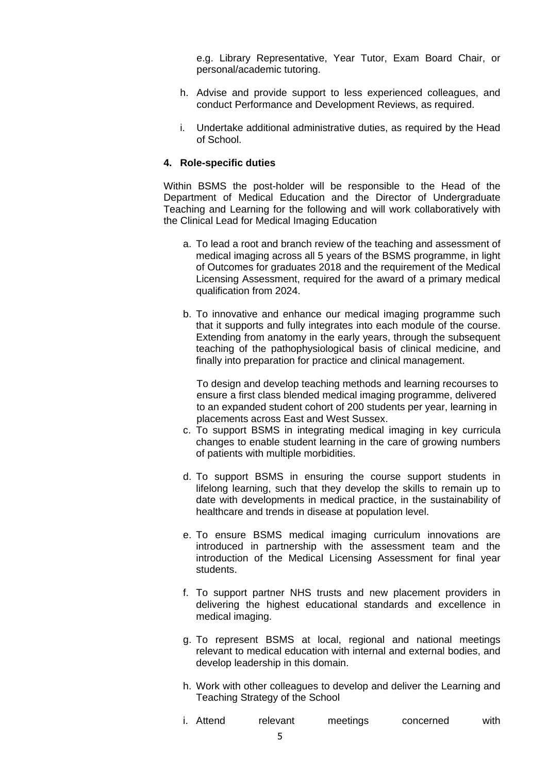e.g. Library Representative, Year Tutor, Exam Board Chair, or personal/academic tutoring.

- h. Advise and provide support to less experienced colleagues, and conduct Performance and Development Reviews, as required.
- i. Undertake additional administrative duties, as required by the Head of School.

#### **4. Role-specific duties**

Within BSMS the post-holder will be responsible to the Head of the Department of Medical Education and the Director of Undergraduate Teaching and Learning for the following and will work collaboratively with the Clinical Lead for Medical Imaging Education

- a. To lead a root and branch review of the teaching and assessment of medical imaging across all 5 years of the BSMS programme, in light of Outcomes for graduates 2018 and the requirement of the Medical Licensing Assessment, required for the award of a primary medical qualification from 2024.
- b. To innovative and enhance our medical imaging programme such that it supports and fully integrates into each module of the course. Extending from anatomy in the early years, through the subsequent teaching of the pathophysiological basis of clinical medicine, and finally into preparation for practice and clinical management.

To design and develop teaching methods and learning recourses to ensure a first class blended medical imaging programme, delivered to an expanded student cohort of 200 students per year, learning in placements across East and West Sussex.

- c. To support BSMS in integrating medical imaging in key curricula changes to enable student learning in the care of growing numbers of patients with multiple morbidities.
- d. To support BSMS in ensuring the course support students in lifelong learning, such that they develop the skills to remain up to date with developments in medical practice, in the sustainability of healthcare and trends in disease at population level.
- e. To ensure BSMS medical imaging curriculum innovations are introduced in partnership with the assessment team and the introduction of the Medical Licensing Assessment for final year students.
- f. To support partner NHS trusts and new placement providers in delivering the highest educational standards and excellence in medical imaging.
- g. To represent BSMS at local, regional and national meetings relevant to medical education with internal and external bodies, and develop leadership in this domain.
- h. Work with other colleagues to develop and deliver the Learning and Teaching Strategy of the School
- i. Attend relevant meetings concerned with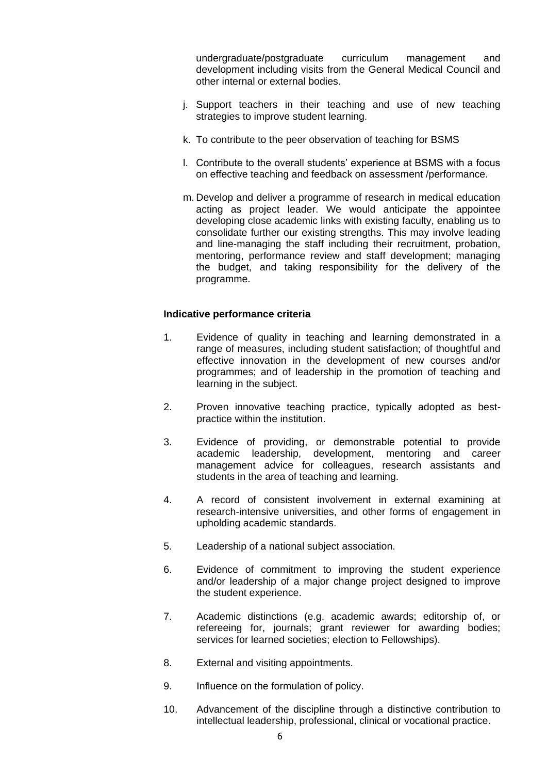undergraduate/postgraduate curriculum management and development including visits from the General Medical Council and other internal or external bodies.

- j. Support teachers in their teaching and use of new teaching strategies to improve student learning.
- k. To contribute to the peer observation of teaching for BSMS
- l. Contribute to the overall students' experience at BSMS with a focus on effective teaching and feedback on assessment /performance.
- m. Develop and deliver a programme of research in medical education acting as project leader. We would anticipate the appointee developing close academic links with existing faculty, enabling us to consolidate further our existing strengths. This may involve leading and line-managing the staff including their recruitment, probation, mentoring, performance review and staff development; managing the budget, and taking responsibility for the delivery of the programme.

# **Indicative performance criteria**

- 1. Evidence of quality in teaching and learning demonstrated in a range of measures, including student satisfaction; of thoughtful and effective innovation in the development of new courses and/or programmes; and of leadership in the promotion of teaching and learning in the subject.
- 2. Proven innovative teaching practice, typically adopted as bestpractice within the institution.
- 3. Evidence of providing, or demonstrable potential to provide academic leadership, development, mentoring and career management advice for colleagues, research assistants and students in the area of teaching and learning.
- 4. A record of consistent involvement in external examining at research-intensive universities, and other forms of engagement in upholding academic standards.
- 5. Leadership of a national subject association.
- 6. Evidence of commitment to improving the student experience and/or leadership of a major change project designed to improve the student experience.
- 7. Academic distinctions (e.g. academic awards; editorship of, or refereeing for, journals; grant reviewer for awarding bodies; services for learned societies; election to Fellowships).
- 8. External and visiting appointments.
- 9. Influence on the formulation of policy.
- 10. Advancement of the discipline through a distinctive contribution to intellectual leadership, professional, clinical or vocational practice.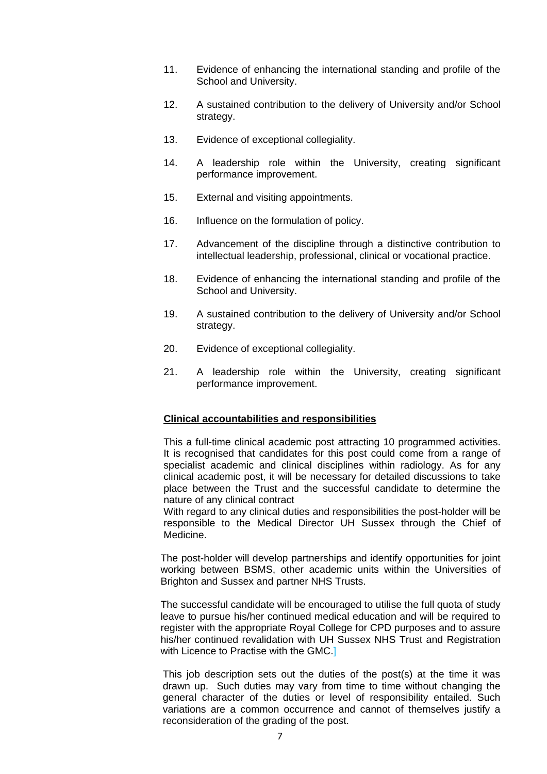- 11. Evidence of enhancing the international standing and profile of the School and University.
- 12. A sustained contribution to the delivery of University and/or School strategy.
- 13. Evidence of exceptional collegiality.
- 14. A leadership role within the University, creating significant performance improvement.
- 15. External and visiting appointments.
- 16. Influence on the formulation of policy.
- 17. Advancement of the discipline through a distinctive contribution to intellectual leadership, professional, clinical or vocational practice.
- 18. Evidence of enhancing the international standing and profile of the School and University.
- 19. A sustained contribution to the delivery of University and/or School strategy.
- 20. Evidence of exceptional collegiality.
- 21. A leadership role within the University, creating significant performance improvement.

#### **Clinical accountabilities and responsibilities**

This a full-time clinical academic post attracting 10 programmed activities. It is recognised that candidates for this post could come from a range of specialist academic and clinical disciplines within radiology. As for any clinical academic post, it will be necessary for detailed discussions to take place between the Trust and the successful candidate to determine the nature of any clinical contract

With regard to any clinical duties and responsibilities the post-holder will be responsible to the Medical Director UH Sussex through the Chief of Medicine.

The post-holder will develop partnerships and identify opportunities for joint working between BSMS, other academic units within the Universities of Brighton and Sussex and partner NHS Trusts.

The successful candidate will be encouraged to utilise the full quota of study leave to pursue his/her continued medical education and will be required to register with the appropriate Royal College for CPD purposes and to assure his/her continued revalidation with UH Sussex NHS Trust and Registration with Licence to Practise with the GMC.

This job description sets out the duties of the post(s) at the time it was drawn up. Such duties may vary from time to time without changing the general character of the duties or level of responsibility entailed. Such variations are a common occurrence and cannot of themselves justify a reconsideration of the grading of the post.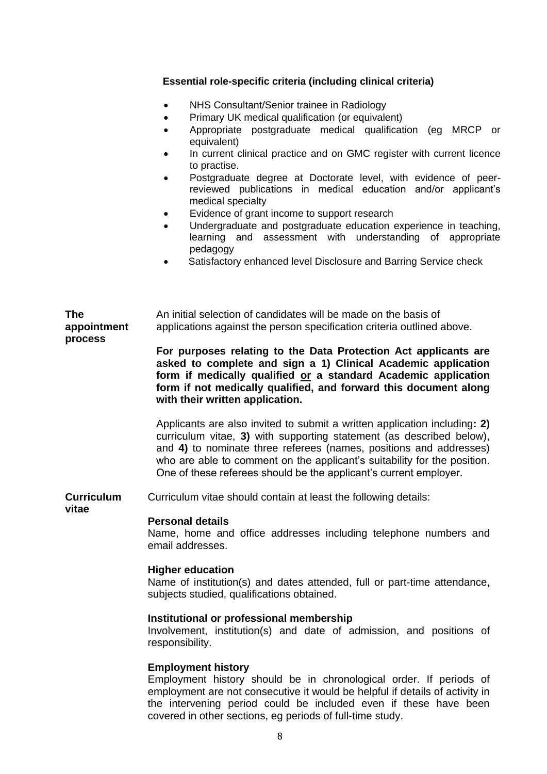# **Essential role-specific criteria (including clinical criteria)**

- NHS Consultant/Senior trainee in Radiology
- Primary UK medical qualification (or equivalent)
- Appropriate postgraduate medical qualification (eg MRCP or equivalent)
- In current clinical practice and on GMC register with current licence to practise.
- Postgraduate degree at Doctorate level, with evidence of peerreviewed publications in medical education and/or applicant's medical specialty
- Evidence of grant income to support research
- Undergraduate and postgraduate education experience in teaching, learning and assessment with understanding of appropriate pedagogy
- Satisfactory enhanced level Disclosure and Barring Service check

#### **The appointment process** An initial selection of candidates will be made on the basis of applications against the person specification criteria outlined above.

**For purposes relating to the Data Protection Act applicants are asked to complete and sign a 1) Clinical Academic application form if medically qualified or a standard Academic application form if not medically qualified, and forward this document along with their written application.**

Applicants are also invited to submit a written application including**: 2)** curriculum vitae, **3)** with supporting statement (as described below), and **4)** to nominate three referees (names, positions and addresses) who are able to comment on the applicant's suitability for the position. One of these referees should be the applicant's current employer.

**Curriculum**  Curriculum vitae should contain at least the following details:

**vitae**

### **Personal details**

Name, home and office addresses including telephone numbers and email addresses.

### **Higher education**

Name of institution(s) and dates attended, full or part-time attendance, subjects studied, qualifications obtained.

### **Institutional or professional membership**

Involvement, institution(s) and date of admission, and positions of responsibility.

### **Employment history**

Employment history should be in chronological order. If periods of employment are not consecutive it would be helpful if details of activity in the intervening period could be included even if these have been covered in other sections, eg periods of full-time study.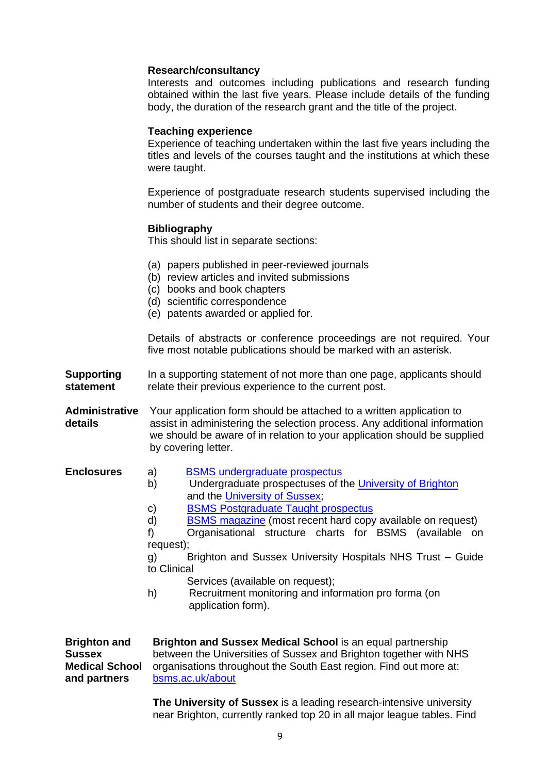# **Research/consultancy**

Interests and outcomes including publications and research funding obtained within the last five years. Please include details of the funding body, the duration of the research grant and the title of the project.

## **Teaching experience**

Experience of teaching undertaken within the last five years including the titles and levels of the courses taught and the institutions at which these were taught.

Experience of postgraduate research students supervised including the number of students and their degree outcome.

# **Bibliography**

This should list in separate sections:

- (a) papers published in peer-reviewed journals
- (b) review articles and invited submissions
- (c) books and book chapters
- (d) scientific correspondence
- (e) patents awarded or applied for.

Details of abstracts or conference proceedings are not required. Your five most notable publications should be marked with an asterisk.

**Supporting statement** In a supporting statement of not more than one page, applicants should relate their previous experience to the current post.

**Administrative**  Your application form should be attached to a written application to **details** assist in administering the selection process. Any additional information we should be aware of in relation to your application should be supplied by covering letter.

- **Enclosures** a) [BSMS undergraduate prospectus](http://www.bsms.ac.uk/undergraduate/our-prospectus/)
	- b) Undergraduate prospectuses of the [University of Brighton](http://www.brighton.ac.uk/prospectus/index.php?PageId=30) and the [University of Sussex;](http://www.sussex.ac.uk/study/prospectus)
	- c) [BSMS Postgraduate Taught](https://www.bsms.ac.uk/postgraduate/index.aspx) prospectus
	- d) [BSMS magazine](http://www.bsms.ac.uk/about/news/) (most recent hard copy available on request)

f) Organisational structure charts for BSMS (available on request);

g) Brighton and Sussex University Hospitals NHS Trust – Guide to Clinical

- Services (available on request):
- h) Recruitment monitoring and information pro forma (on application form).

**Brighton and Sussex Medical School and partners Brighton and Sussex Medical School** is an equal partnership between the Universities of Sussex and Brighton together with NHS organisations throughout the South East region. Find out more at: [bsms.ac.uk/about](file:///C:/Users/er331/AppData/Local/Microsoft/Windows/INetCache/Juliet.Wright/AppData/Local/Microsoft/Windows/INetCache/Content.Outlook/AppData/Local/Microsoft/Windows/INetCache/Content.Outlook/AppData/Local/Microsoft/Windows/INetCache/bsms6340/AppData/Local/Microsoft/Windows/Temporary%20Internet%20Files/Content.Outlook/CTJFP6YN/bsms.ac.uk/about)

> **The University of Sussex** is a leading research-intensive university near Brighton, currently ranked top 20 in all major league tables. Find